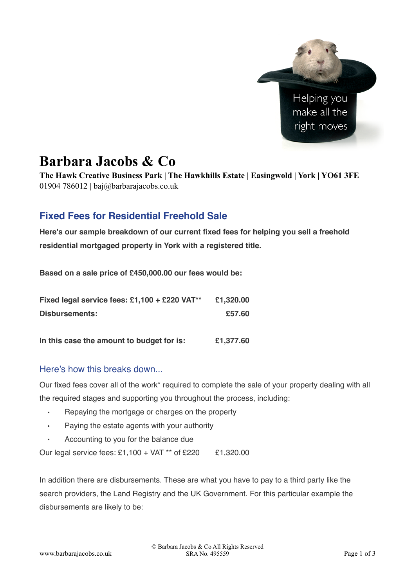

# **Barbara Jacobs & Co**

**The Hawk Creative Business Park | The Hawkhills Estate | Easingwold | York | YO61 3FE**  01904 786012 | baj $\omega$ barbarajacobs.co.uk

## **Fixed Fees for Residential Freehold Sale**

**Here's our sample breakdown of our current fixed fees for helping you sell a freehold residential mortgaged property in York with a registered title.**

**Based on a sale price of £450,000.00 our fees would be:**

| Fixed legal service fees: £1,100 + £220 VAT** | £1,320.00 |
|-----------------------------------------------|-----------|
| Disbursements:                                | £57.60    |
| In this case the amount to budget for is:     | £1,377.60 |

#### Here's how this breaks down...

Our fixed fees cover all of the work\* required to complete the sale of your property dealing with all the required stages and supporting you throughout the process, including:

- Repaying the mortgage or charges on the property
- Paying the estate agents with your authority
- Accounting to you for the balance due

Our legal service fees: £1,100 + VAT \*\* of £220 £1,320.00

In addition there are disbursements. These are what you have to pay to a third party like the search providers, the Land Registry and the UK Government. For this particular example the disbursements are likely to be: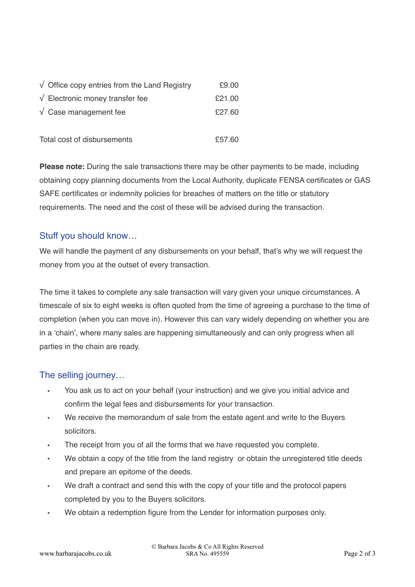| $\sqrt{\phantom{a}}$ Office copy entries from the Land Registry | £9.00  |
|-----------------------------------------------------------------|--------|
| $\sqrt{\phantom{a}}$ Electronic money transfer fee              | £21.00 |
| $\sqrt{\phantom{a}}$ Case management fee                        | £27.60 |
| Total cost of disbursements                                     | £57.60 |

**Please note:** During the sale transactions there may be other payments to be made, including obtaining copy planning documents from the Local Authority, duplicate FENSA certificates or GAS SAFE certificates or indemnity policies for breaches of matters on the title or statutory requirements. The need and the cost of these will be advised during the transaction.

### Stuff you should know…

We will handle the payment of any disbursements on your behalf, that's why we will request the money from you at the outset of every transaction.

The time it takes to complete any sale transaction will vary given your unique circumstances. A timescale of six to eight weeks is often quoted from the time of agreeing a purchase to the time of completion (when you can move in). However this can vary widely depending on whether you are in a 'chain', where many sales are happening simultaneously and can only progress when all parties in the chain are ready.

#### The selling journey…

- You ask us to act on your behalf (your instruction) and we give you initial advice and confirm the legal fees and disbursements for your transaction.
- We receive the memorandum of sale from the estate agent and write to the Buyers solicitors.
- The receipt from you of all the forms that we have requested you complete.
- We obtain a copy of the title from the land registry or obtain the unregistered title deeds and prepare an epitome of the deeds.
- We draft a contract and send this with the copy of your title and the protocol papers completed by you to the Buyers solicitors.
- We obtain a redemption figure from the Lender for information purposes only.